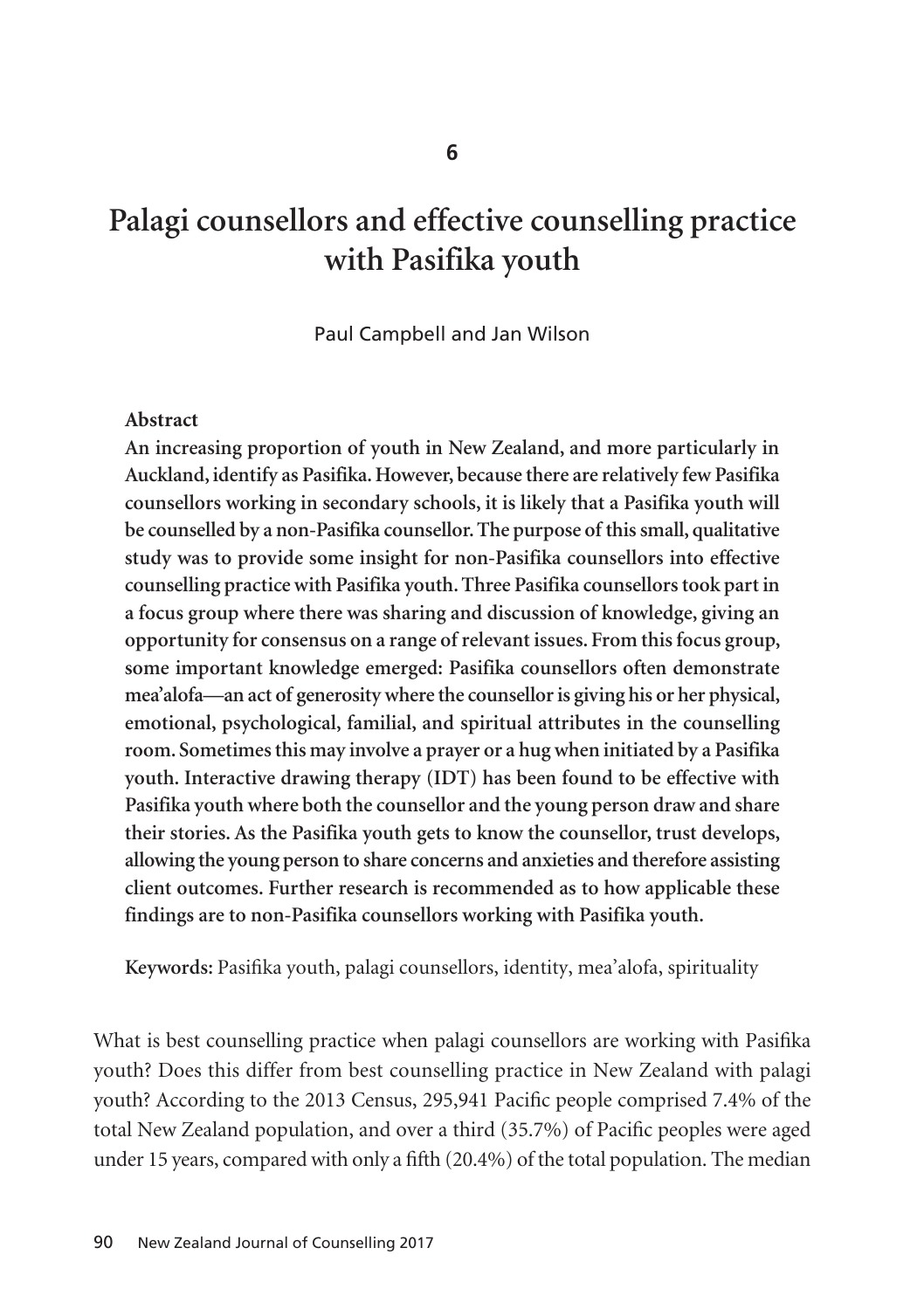# **Palagi counsellors and effective counselling practice with Pasifika youth**

Paul Campbell and Jan Wilson

#### **Abstract**

**An increasing proportion of youth in New Zealand, and more particularly in Auckland, identify as Pasifika. However, because there are relatively few Pasifika counsellors working in secondary schools, it is likely that a Pasifika youth will be counselled by a non-Pasifika counsellor. The purpose of this small, qualitative study was to provide some insight for non-Pasifika counsellors into effective counselling practice with Pasifika youth. Three Pasifika counsellors took part in a focus group where there was sharing and discussion of knowledge, giving an opportunity for consensus on a range of relevant issues. From this focus group, some important knowledge emerged: Pasifika counsellors often demonstrate mea'alofa—an act of generosity where the counsellor is giving his or her physical, emotional, psychological, familial, and spiritual attributes in the counselling room. Sometimes this may involve a prayer or a hug when initiated by a Pasifika youth. Interactive drawing therapy (IDT) has been found to be effective with Pasifika youth where both the counsellor and the young person draw and share their stories. As the Pasifika youth gets to know the counsellor, trust develops, allowing the young person to share concerns and anxieties and therefore assisting client outcomes. Further research is recommended as to how applicable these findings are to non-Pasifika counsellors working with Pasifika youth.**

**Keywords:** Pasifika youth, palagi counsellors, identity, mea'alofa, spirituality

What is best counselling practice when palagi counsellors are working with Pasifika youth? Does this differ from best counselling practice in New Zealand with palagi youth? According to the 2013 Census, 295,941 Pacific people comprised 7.4% of the total New Zealand population, and over a third (35.7%) of Pacific peoples were aged under 15 years, compared with only a fifth (20.4%) of the total population. The median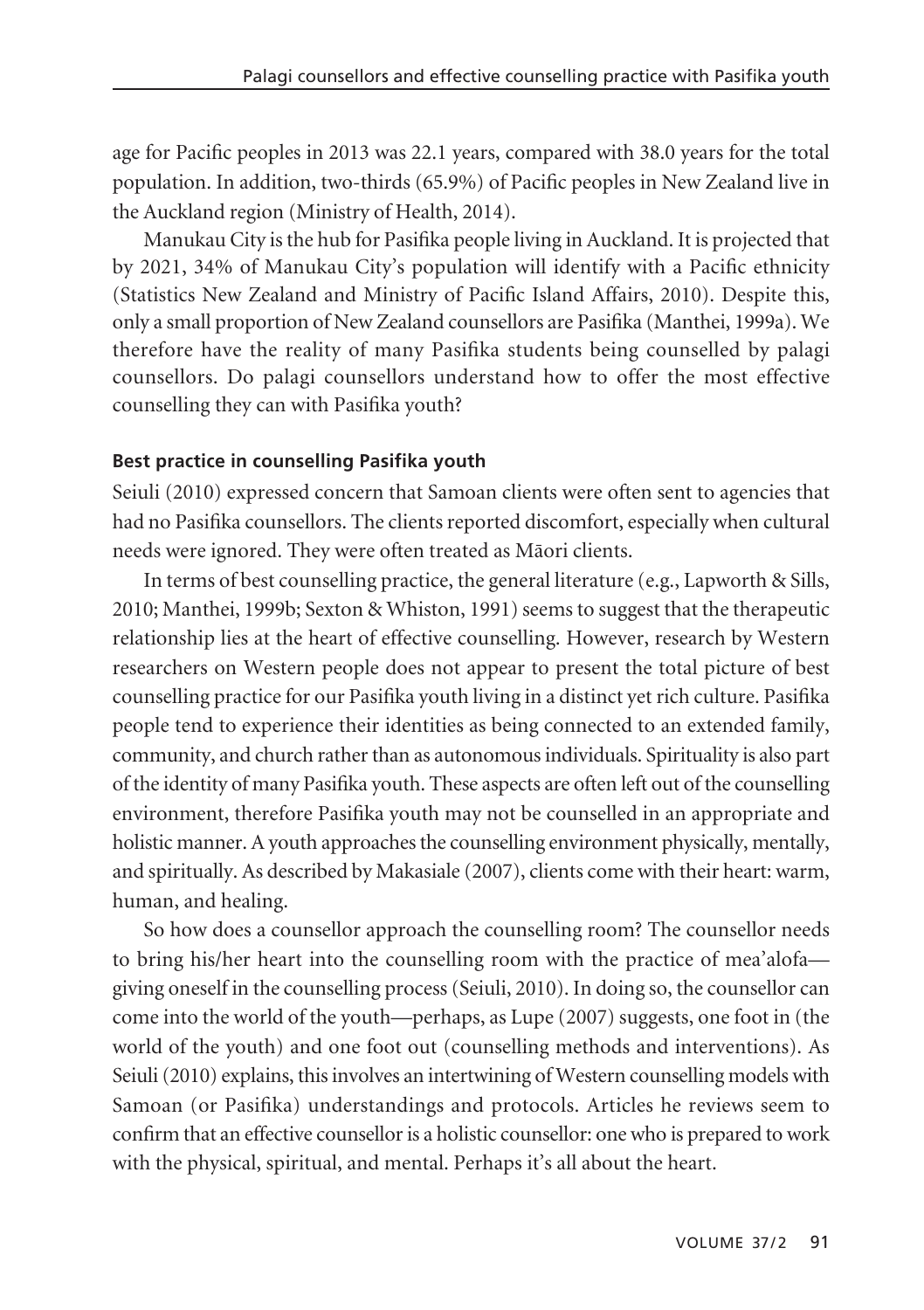age for Pacific peoples in 2013 was 22.1 years, compared with 38.0 years for the total population. In addition, two-thirds (65.9%) of Pacific peoples in New Zealand live in the Auckland region (Ministry of Health, 2014).

Manukau City is the hub for Pasifika people living in Auckland. It is projected that by 2021, 34% of Manukau City's population will identify with a Pacific ethnicity (Statistics New Zealand and Ministry of Pacific Island Affairs, 2010). Despite this, only a small proportion of New Zealand counsellors are Pasifika (Manthei, 1999a). We therefore have the reality of many Pasifika students being counselled by palagi counsellors. Do palagi counsellors understand how to offer the most effective counselling they can with Pasifika youth?

## **Best practice in counselling Pasifika youth**

Seiuli (2010) expressed concern that Samoan clients were often sent to agencies that had no Pasifika counsellors. The clients reported discomfort, especially when cultural needs were ignored. They were often treated as Mäori clients.

In terms of best counselling practice, the general literature (e.g., Lapworth & Sills, 2010; Manthei, 1999b; Sexton & Whiston, 1991) seems to suggest that the therapeutic relationship lies at the heart of effective counselling. However, research by Western researchers on Western people does not appear to present the total picture of best counselling practice for our Pasifika youth living in a distinct yet rich culture. Pasifika people tend to experience their identities as being connected to an extended family, community, and church rather than as autonomous individuals. Spirituality is also part of the identity of many Pasifika youth. These aspects are often left out of the counselling environment, therefore Pasifika youth may not be counselled in an appropriate and holistic manner. A youth approaches the counselling environment physically, mentally, and spiritually. As described by Makasiale (2007), clients come with their heart: warm, human, and healing.

So how does a counsellor approach the counselling room? The counsellor needs to bring his/her heart into the counselling room with the practice of mea'alofa giving oneself in the counselling process (Seiuli, 2010). In doing so, the counsellor can come into the world of the youth—perhaps, as Lupe (2007) suggests, one foot in (the world of the youth) and one foot out (counselling methods and interventions). As Seiuli (2010) explains, this involves an intertwining of Western counselling models with Samoan (or Pasifika) understandings and protocols. Articles he reviews seem to confirm that an effective counsellor is a holistic counsellor: one who is prepared to work with the physical, spiritual, and mental. Perhaps it's all about the heart.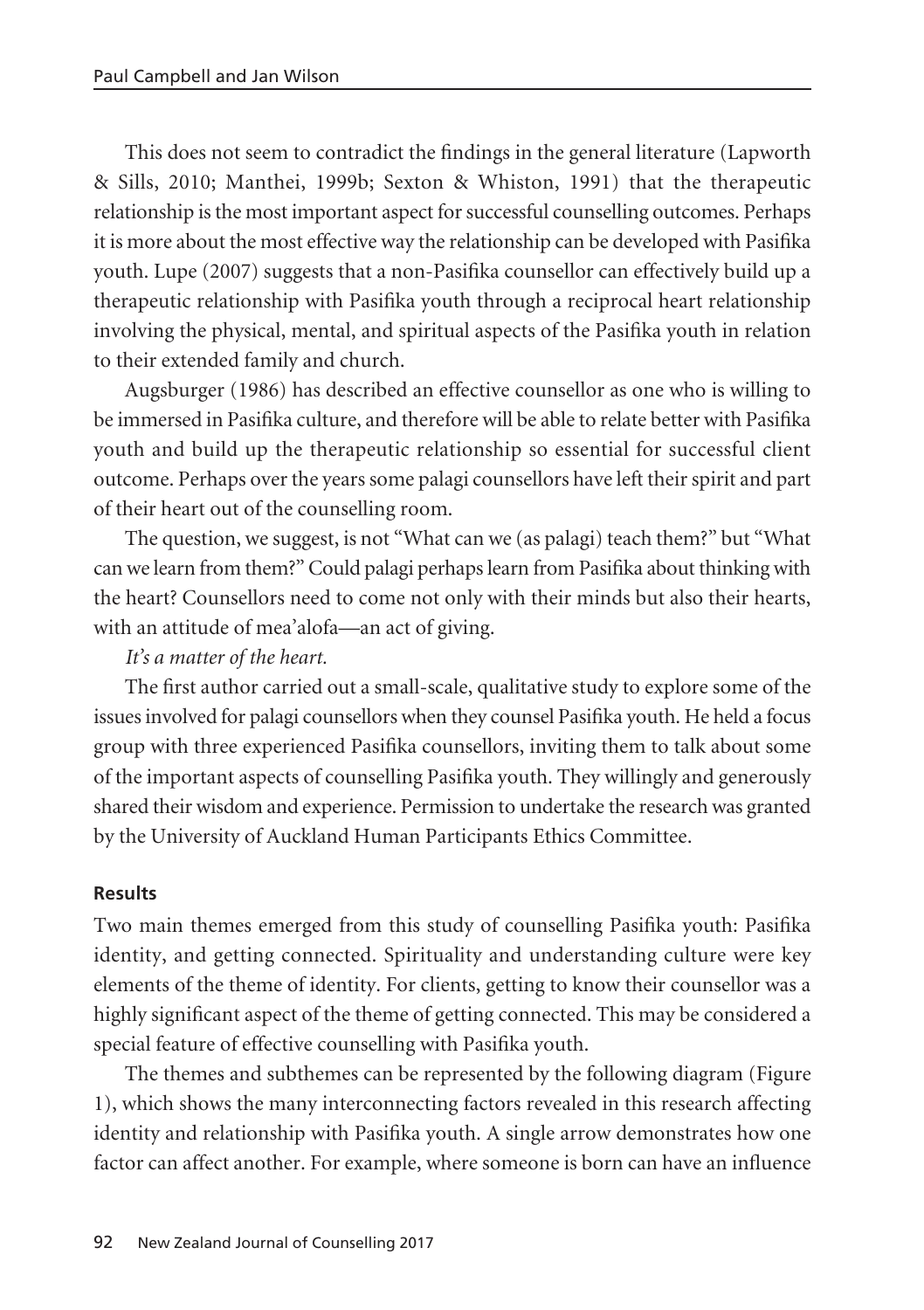This does not seem to contradict the findings in the general literature (Lapworth & Sills, 2010; Manthei, 1999b; Sexton & Whiston, 1991) that the therapeutic relationship is the most important aspect for successful counselling outcomes. Perhaps it is more about the most effective way the relationship can be developed with Pasifika youth. Lupe (2007) suggests that a non-Pasifika counsellor can effectively build up a therapeutic relationship with Pasifika youth through a reciprocal heart relationship involving the physical, mental, and spiritual aspects of the Pasifika youth in relation to their extended family and church.

Augsburger (1986) has described an effective counsellor as one who is willing to be immersed in Pasifika culture, and therefore will be able to relate better with Pasifika youth and build up the therapeutic relationship so essential for successful client outcome. Perhaps over the years some palagi counsellors have left their spirit and part of their heart out of the counselling room.

The question, we suggest, is not "What can we (as palagi) teach them?" but "What can we learn from them?" Could palagi perhaps learn from Pasifika about thinking with the heart? Counsellors need to come not only with their minds but also their hearts, with an attitude of mea'alofa—an act of giving.

*It's a matter of the heart.*

The first author carried out a small-scale, qualitative study to explore some of the issues involved for palagi counsellors when they counsel Pasifika youth. He held a focus group with three experienced Pasifika counsellors, inviting them to talk about some of the important aspects of counselling Pasifika youth. They willingly and generously shared their wisdom and experience. Permission to undertake the research was granted by the University of Auckland Human Participants Ethics Committee.

## **Results**

Two main themes emerged from this study of counselling Pasifika youth: Pasifika identity, and getting connected. Spirituality and understanding culture were key elements of the theme of identity. For clients, getting to know their counsellor was a highly significant aspect of the theme of getting connected. This may be considered a special feature of effective counselling with Pasifika youth.

The themes and subthemes can be represented by the following diagram (Figure 1), which shows the many interconnecting factors revealed in this research affecting identity and relationship with Pasifika youth. A single arrow demonstrates how one factor can affect another. For example, where someone is born can have an influence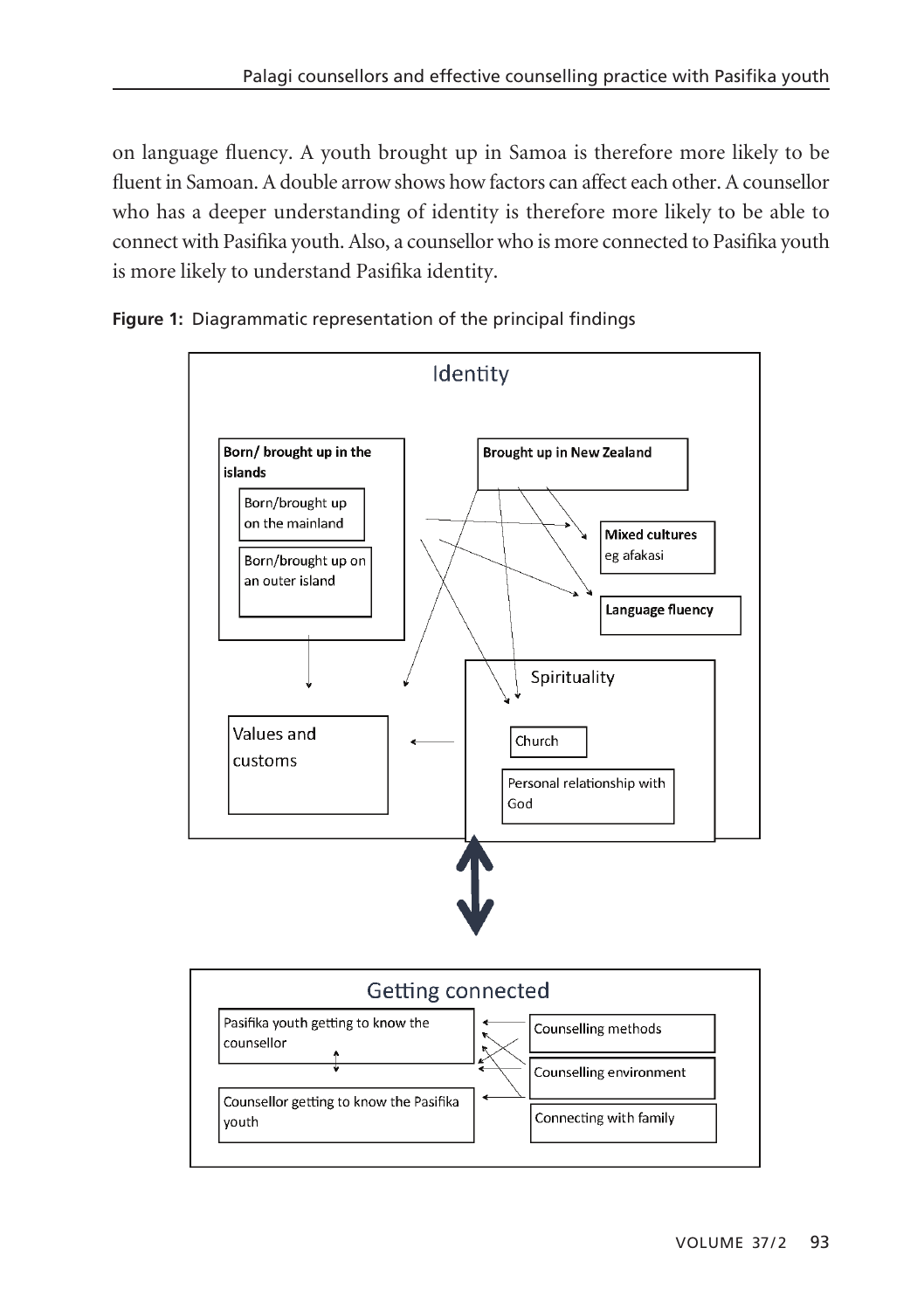on language fluency. A youth brought up in Samoa is therefore more likely to be fluent in Samoan. A double arrow shows how factors can affect each other. A counsellor who has a deeper understanding of identity is therefore more likely to be able to connect with Pasifika youth. Also, a counsellor who is more connected to Pasifika youth is more likely to understand Pasifika identity.





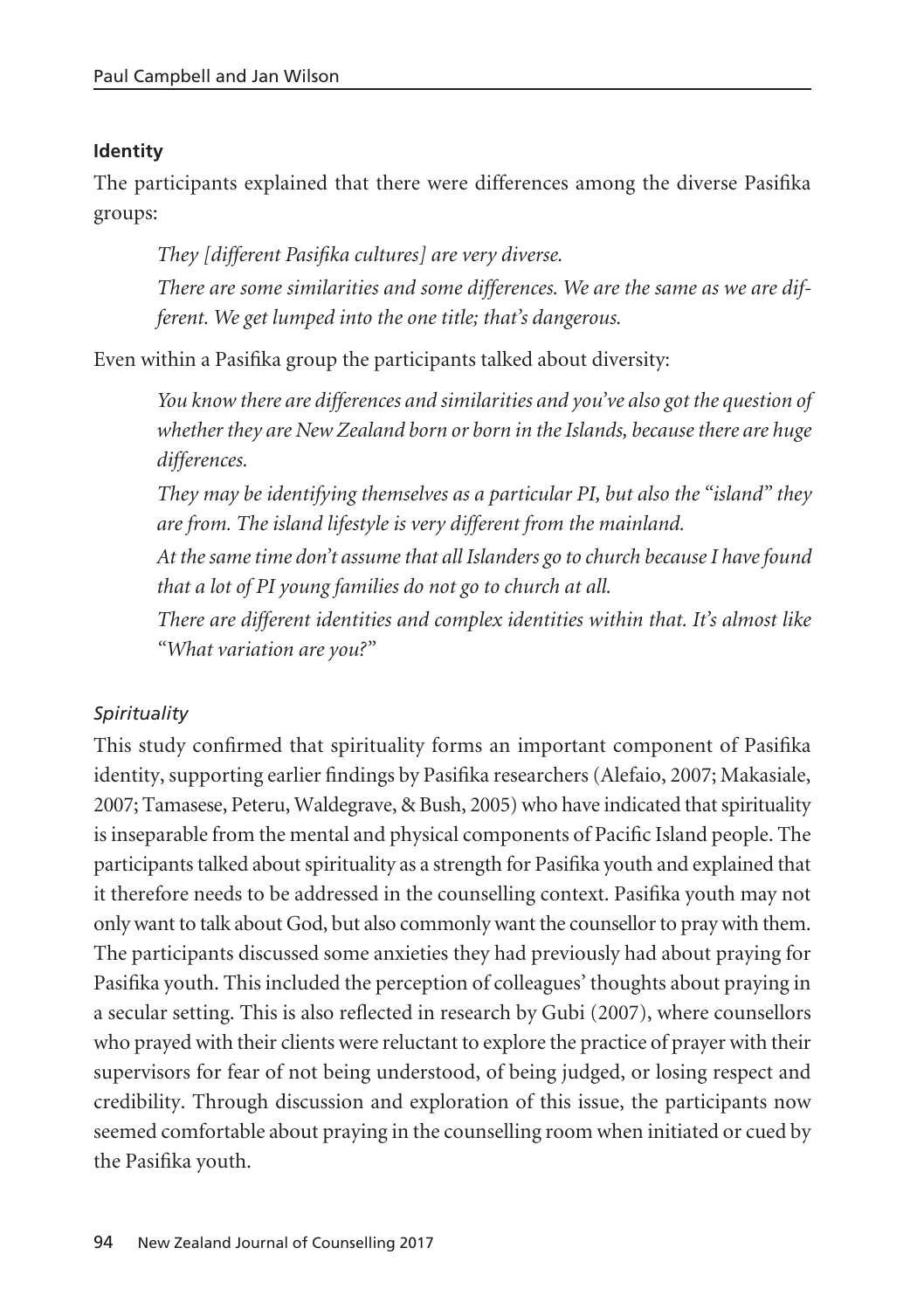## **Identity**

The participants explained that there were differences among the diverse Pasifika groups:

*They [different Pasifika cultures] are very diverse. There are some similarities and some differences. We are the same as we are different. We get lumped into the one title; that's dangerous.*

Even within a Pasifika group the participants talked about diversity:

*You know there are differences and similarities and you've also got the question of whether they are New Zealand born or born in the Islands, because there are huge differences.* 

*They may be identifying themselves as a particular PI, but also the "island" they are from. The island lifestyle is very different from the mainland.* 

*At the same time don't assume that all Islanders go to church because I have found that a lot of PI young families do not go to church at all.*

*There are different identities and complex identities within that. It's almost like "What variation are you?"*

# *Spirituality*

This study confirmed that spirituality forms an important component of Pasifika identity, supporting earlier findings by Pasifika researchers (Alefaio, 2007; Makasiale, 2007; Tamasese, Peteru, Waldegrave, & Bush, 2005) who have indicated that spirituality is inseparable from the mental and physical components of Pacific Island people. The participants talked about spirituality as a strength for Pasifika youth and explained that it therefore needs to be addressed in the counselling context. Pasifika youth may not only want to talk about God, but also commonly want the counsellor to pray with them. The participants discussed some anxieties they had previously had about praying for Pasifika youth. This included the perception of colleagues' thoughts about praying in a secular setting. This is also reflected in research by Gubi (2007), where counsellors who prayed with their clients were reluctant to explore the practice of prayer with their supervisors for fear of not being understood, of being judged, or losing respect and credibility. Through discussion and exploration of this issue, the participants now seemed comfortable about praying in the counselling room when initiated or cued by the Pasifika youth.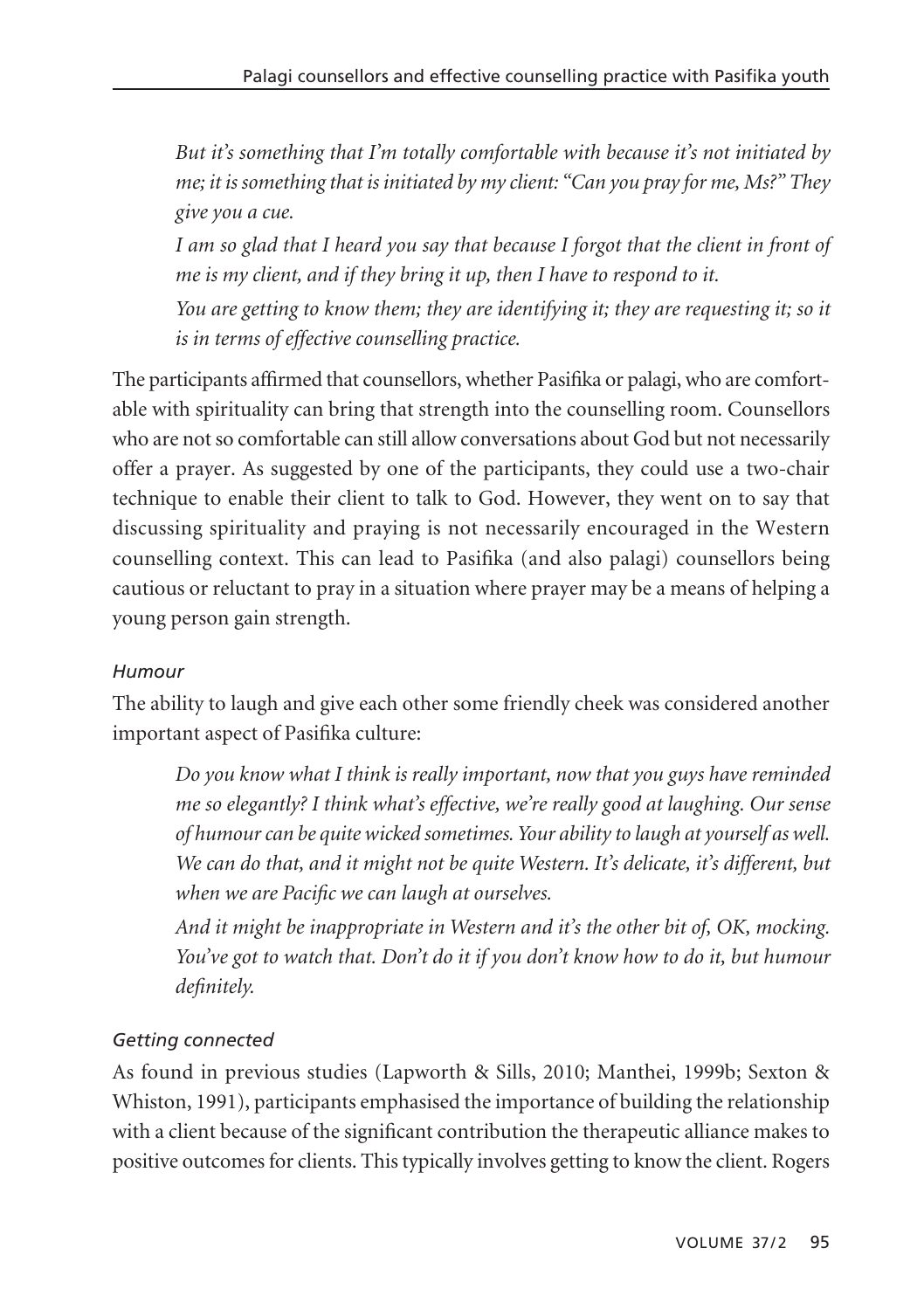*But it's something that I'm totally comfortable with because it's not initiated by me; it is something that is initiated by my client: "Can you pray for me, Ms?" They give you a cue.* 

*I am so glad that I heard you say that because I forgot that the client in front of me is my client, and if they bring it up, then I have to respond to it.*

*You are getting to know them; they are identifying it; they are requesting it; so it is in terms of effective counselling practice.* 

The participants affirmed that counsellors, whether Pasifika or palagi, who are comfort able with spirituality can bring that strength into the counselling room. Counsellors who are not so comfortable can still allow conversations about God but not necessarily offer a prayer. As suggested by one of the participants, they could use a two-chair technique to enable their client to talk to God. However, they went on to say that discussing spirituality and praying is not necessarily encouraged in the Western counselling context. This can lead to Pasifika (and also palagi) counsellors being cautious or reluctant to pray in a situation where prayer may be a means of helping a young person gain strength.

# *Humour*

The ability to laugh and give each other some friendly cheek was considered another important aspect of Pasifika culture:

*Do you know what I think is really important, now that you guys have reminded me so elegantly? I think what's effective, we're really good at laughing. Our sense of humour can be quite wicked sometimes. Your ability to laugh at yourself as well. We can do that, and it might not be quite Western. It's delicate, it's different, but when we are Pacific we can laugh at ourselves.*

*And it might be inappropriate in Western and it's the other bit of, OK, mocking. You've got to watch that. Don't do it if you don't know how to do it, but humour definitely.* 

# *Getting connected*

As found in previous studies (Lapworth & Sills, 2010; Manthei, 1999b; Sexton & Whiston, 1991), participants emphasised the importance of building the relationship with a client because of the significant contribution the therapeutic alliance makes to positive outcomes for clients. This typically involves getting to know the client. Rogers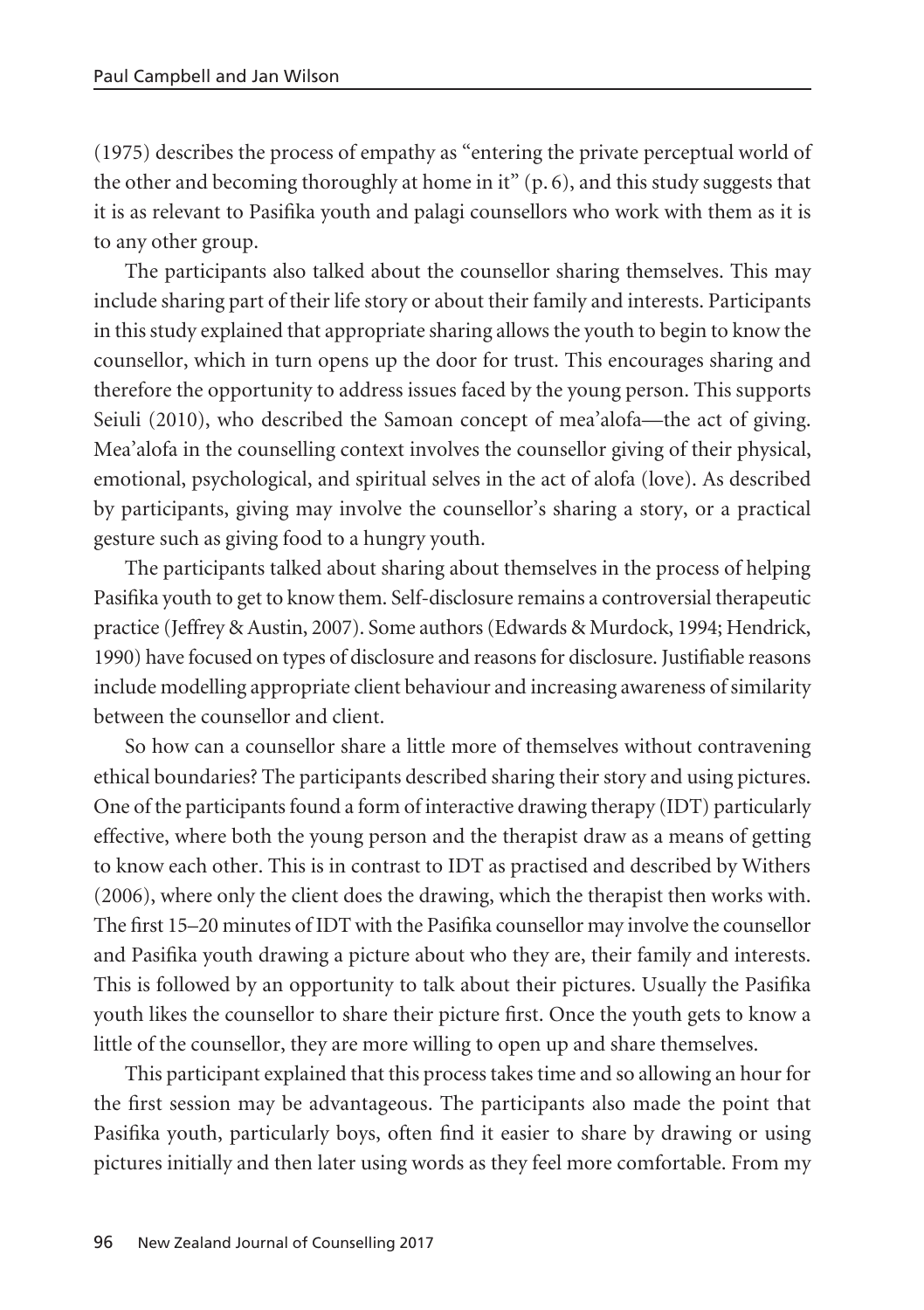(1975) describes the process of empathy as "entering the private perceptual world of the other and becoming thoroughly at home in it" (p. 6), and this study suggests that it is as relevant to Pasifika youth and palagi counsellors who work with them as it is to any other group.

The participants also talked about the counsellor sharing themselves. This may include sharing part of their life story or about their family and interests. Participants in this study explained that appropriate sharing allows the youth to begin to know the counsellor, which in turn opens up the door for trust. This encourages sharing and therefore the opportunity to address issues faced by the young person. This supports Seiuli (2010), who described the Samoan concept of mea'alofa—the act of giving. Mea'alofa in the counselling context involves the counsellor giving of their physical, emotional, psychological, and spiritual selves in the act of alofa (love). As described by participants, giving may involve the counsellor's sharing a story, or a practical gesture such as giving food to a hungry youth.

The participants talked about sharing about themselves in the process of helping Pasifika youth to get to know them. Self-disclosure remains a controversial therapeutic practice (Jeffrey & Austin, 2007). Some authors (Edwards & Murdock, 1994; Hendrick, 1990) have focused on types of disclosure and reasons for disclosure. Justifiable reasons include modelling appropriate client behaviour and increasing awareness of similarity between the counsellor and client.

So how can a counsellor share a little more of themselves without contravening ethical boundaries? The participants described sharing their story and using pictures. One of the participants found a form of interactive drawing therapy (IDT) particularly effective, where both the young person and the therapist draw as a means of getting to know each other. This is in contrast to IDT as practised and described by Withers (2006), where only the client does the drawing, which the therapist then works with. The first 15–20 minutes of IDT with the Pasifika counsellor may involve the counsellor and Pasifika youth drawing a picture about who they are, their family and interests. This is followed by an opportunity to talk about their pictures. Usually the Pasifika youth likes the counsellor to share their picture first. Once the youth gets to know a little of the counsellor, they are more willing to open up and share themselves.

This participant explained that this process takes time and so allowing an hour for the first session may be advantageous. The participants also made the point that Pasifika youth, particularly boys, often find it easier to share by drawing or using pictures initially and then later using words as they feel more comfortable. From my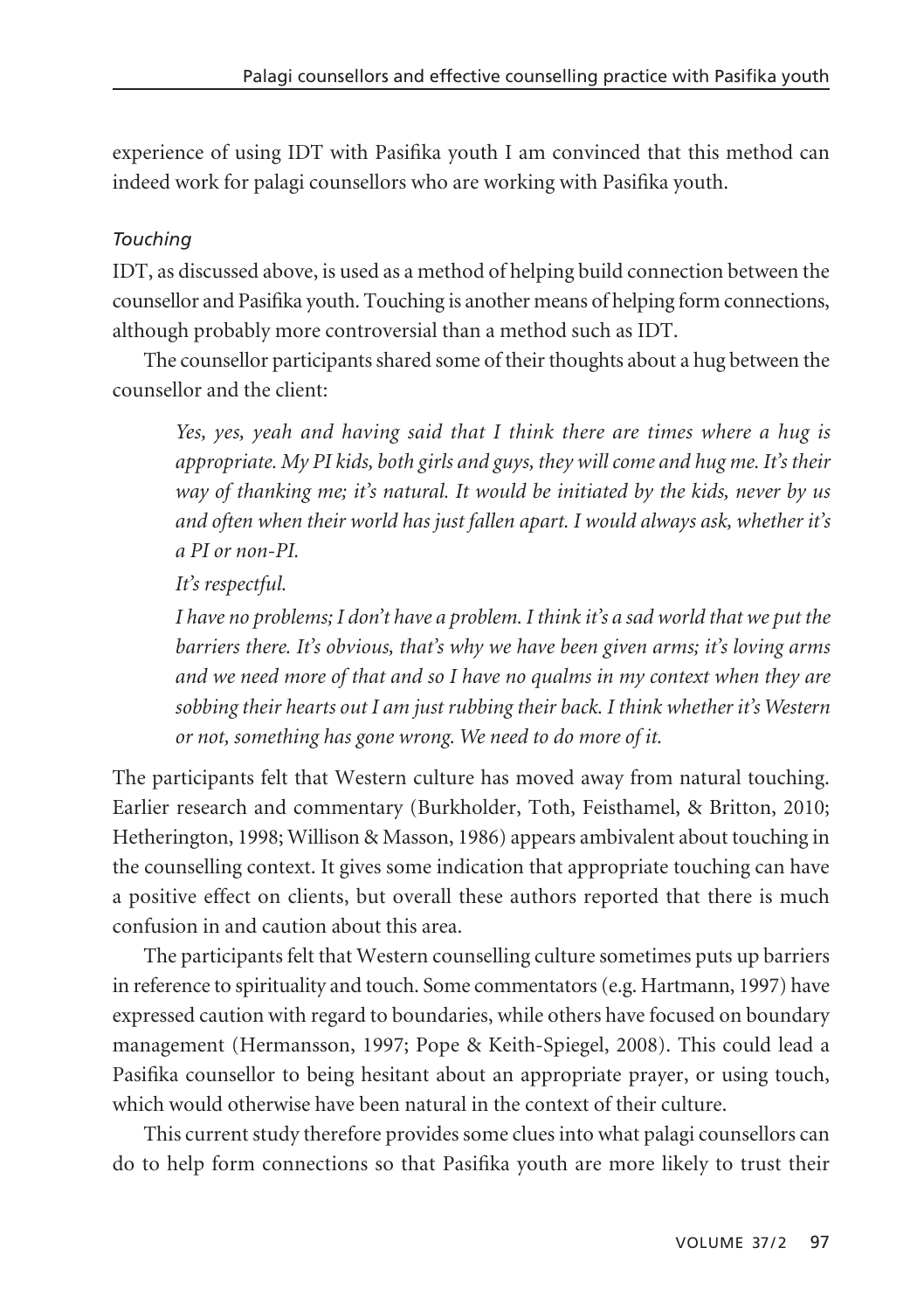experience of using IDT with Pasifika youth I am convinced that this method can indeed work for palagi counsellors who are working with Pasifika youth.

## *Touching*

IDT, as discussed above, is used as a method of helping build connection between the counsellor and Pasifika youth. Touching is another means of helping form connections, although probably more controversial than a method such as IDT.

The counsellor participants shared some of their thoughts about a hug between the counsellor and the client:

*Yes, yes, yeah and having said that I think there are times where a hug is appropriate. My PI kids, both girls and guys, they will come and hug me. It's their way of thanking me; it's natural. It would be initiated by the kids, never by us and often when their world has just fallen apart. I would always ask, whether it's a PI or non-PI.* 

*It's respectful.* 

*I have no problems; I don't have a problem. I think it's a sad world that we put the barriers there. It's obvious, that's why we have been given arms; it's loving arms and we need more of that and so I have no qualms in my context when they are sobbing their hearts out I am just rubbing their back. I think whether it's Western or not, something has gone wrong. We need to do more of it.* 

The participants felt that Western culture has moved away from natural touching. Earlier research and commentary (Burkholder, Toth, Feisthamel, & Britton, 2010; Hetherington, 1998; Willison & Masson, 1986) appears ambivalent about touching in the counselling context. It gives some indication that appropriate touching can have a positive effect on clients, but overall these authors reported that there is much confusion in and caution about this area.

The participants felt that Western counselling culture sometimes puts up barriers in reference to spirituality and touch. Some commentators (e.g. Hartmann, 1997) have expressed caution with regard to boundaries, while others have focused on boundary management (Hermansson, 1997; Pope & Keith-Spiegel, 2008). This could lead a Pasifika counsellor to being hesitant about an appropriate prayer, or using touch, which would otherwise have been natural in the context of their culture.

This current study therefore provides some clues into what palagi counsellors can do to help form connections so that Pasifika youth are more likely to trust their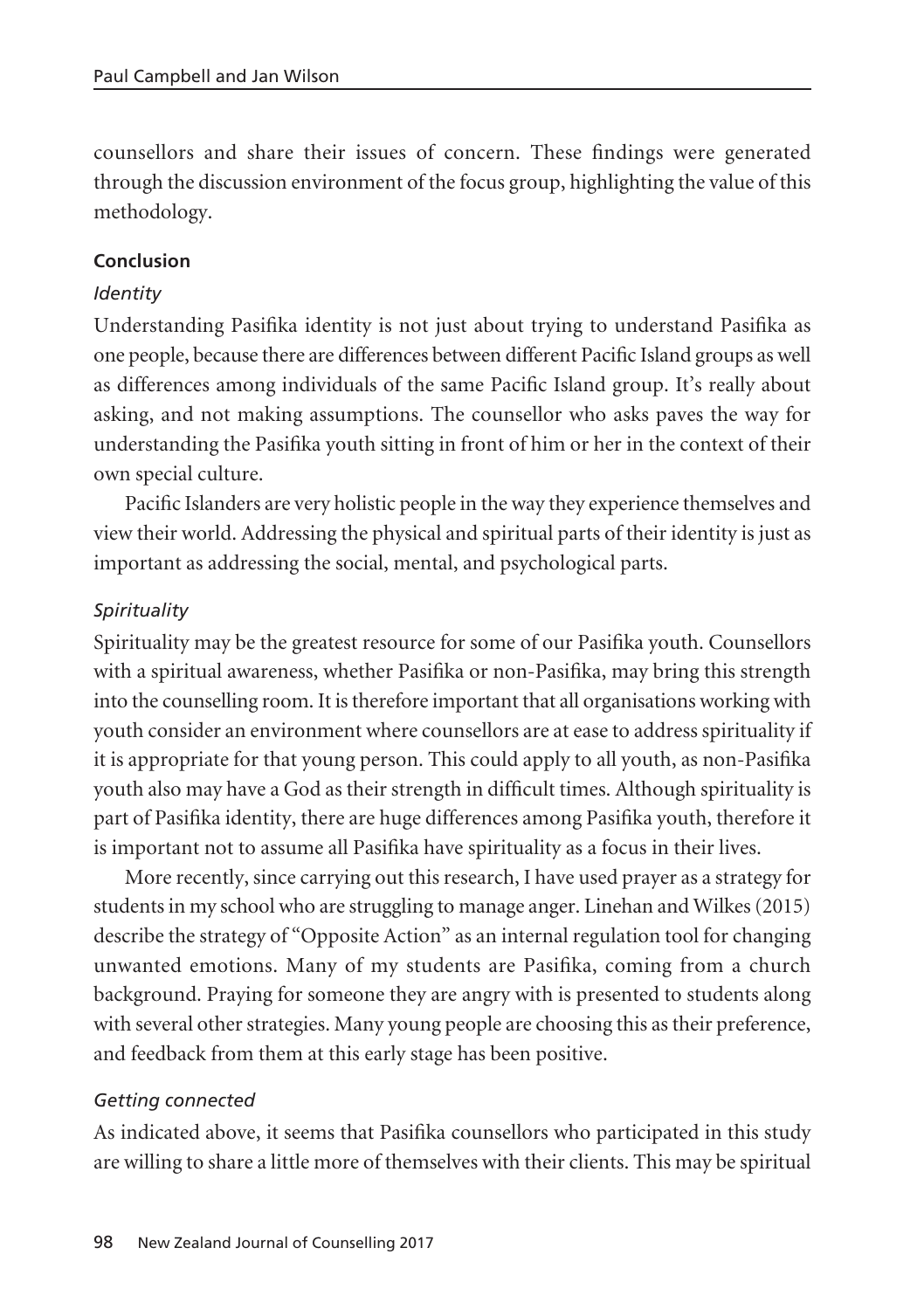counsellors and share their issues of concern. These findings were generated through the discussion environment of the focus group, highlighting the value of this methodology.

## **Conclusion**

#### *Identity*

Understanding Pasifika identity is not just about trying to understand Pasifika as one people, because there are differences between different Pacific Island groups as well as differences among individuals of the same Pacific Island group. It's really about asking, and not making assumptions. The counsellor who asks paves the way for understanding the Pasifika youth sitting in front of him or her in the context of their own special culture.

Pacific Islanders are very holistic people in the way they experience themselves and view their world. Addressing the physical and spiritual parts of their identity is just as important as addressing the social, mental, and psychological parts.

#### *Spirituality*

Spirituality may be the greatest resource for some of our Pasifika youth. Counsellors with a spiritual awareness, whether Pasifika or non-Pasifika, may bring this strength into the counselling room. It is therefore important that all organisations working with youth consider an environment where counsellors are at ease to address spirituality if it is appropriate for that young person. This could apply to all youth, as non-Pasifika youth also may have a God as their strength in difficult times. Although spirituality is part of Pasifika identity, there are huge differences among Pasifika youth, therefore it is important not to assume all Pasifika have spirituality as a focus in their lives.

More recently, since carrying out this research, I have used prayer as a strategy for students in my school who are struggling to manage anger. Linehan and Wilkes (2015) describe the strategy of "Opposite Action" as an internal regulation tool for changing unwanted emotions. Many of my students are Pasifika, coming from a church background. Praying for someone they are angry with is presented to students along with several other strategies. Many young people are choosing this as their preference, and feedback from them at this early stage has been positive.

#### *Getting connected*

As indicated above, it seems that Pasifika counsellors who participated in this study are willing to share a little more of themselves with their clients. This may be spiritual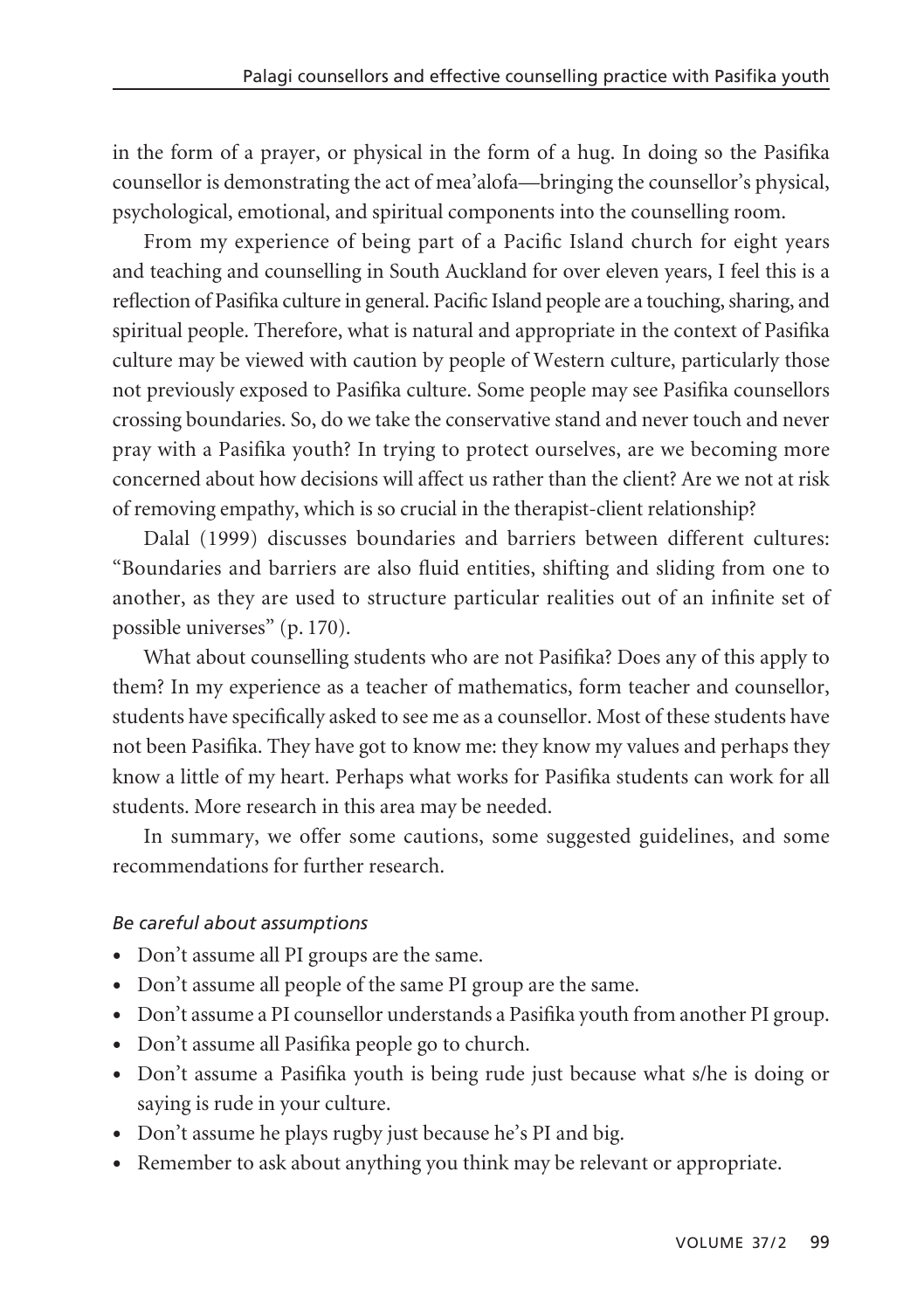in the form of a prayer, or physical in the form of a hug. In doing so the Pasifika counsellor is demonstrating the act of mea'alofa—bringing the counsellor's physical, psychological, emotional, and spiritual components into the counselling room.

From my experience of being part of a Pacific Island church for eight years and teaching and counselling in South Auckland for over eleven years, I feel this is a reflection of Pasifika culture in general. Pacific Island people are a touching, sharing, and spiritual people. Therefore, what is natural and appropriate in the context of Pasifika culture may be viewed with caution by people of Western culture, particularly those not previously exposed to Pasifika culture. Some people may see Pasifika counsellors crossing boundaries. So, do we take the conservative stand and never touch and never pray with a Pasifika youth? In trying to protect ourselves, are we becoming more concerned about how decisions will affect us rather than the client? Are we not at risk of removing empathy, which is so crucial in the therapist-client relationship?

Dalal (1999) discusses boundaries and barriers between different cultures: "Boundaries and barriers are also fluid entities, shifting and sliding from one to another, as they are used to structure particular realities out of an infinite set of possible universes" (p. 170).

What about counselling students who are not Pasifika? Does any of this apply to them? In my experience as a teacher of mathematics, form teacher and counsellor, students have specifically asked to see me as a counsellor. Most of these students have not been Pasifika. They have got to know me: they know my values and perhaps they know a little of my heart. Perhaps what works for Pasifika students can work for all students. More research in this area may be needed.

In summary, we offer some cautions, some suggested guidelines, and some recommendations for further research.

## *Be careful about assumptions*

- Don't assume all PI groups are the same.
- Don't assume all people of the same PI group are the same.
- Don't assume a PI counsellor understands a Pasifika youth from another PI group.
- Don't assume all Pasifika people go to church.
- Don't assume a Pasifika youth is being rude just because what s/he is doing or saying is rude in your culture.
- Don't assume he plays rugby just because he's PI and big.
- Remember to ask about anything you think may be relevant or appropriate.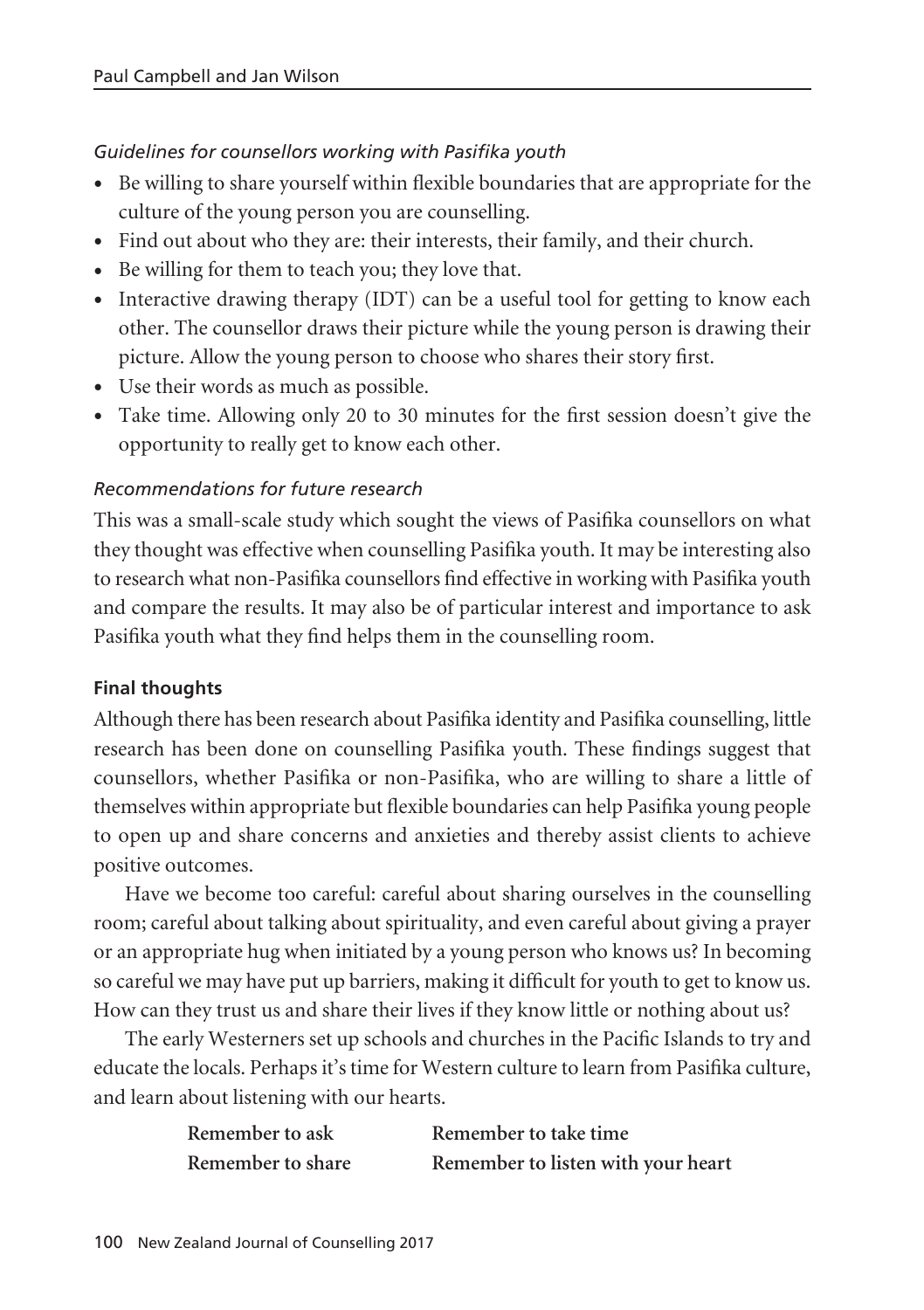# *Guidelines for counsellors working with Pasifika youth*

- Be willing to share yourself within flexible boundaries that are appropriate for the culture of the young person you are counselling.
- Find out about who they are: their interests, their family, and their church.
- Be willing for them to teach you; they love that.
- Interactive drawing therapy (IDT) can be a useful tool for getting to know each other. The counsellor draws their picture while the young person is drawing their picture. Allow the young person to choose who shares their story first.
- Use their words as much as possible.
- Take time. Allowing only 20 to 30 minutes for the first session doesn't give the opportunity to really get to know each other.

# *Recommendations for future research*

This was a small-scale study which sought the views of Pasifika counsellors on what they thought was effective when counselling Pasifika youth. It may be interesting also to research what non-Pasifika counsellors find effective in working with Pasifika youth and compare the results. It may also be of particular interest and importance to ask Pasifika youth what they find helps them in the counselling room.

# **Final thoughts**

Although there has been research about Pasifika identity and Pasifika counselling, little research has been done on counselling Pasifika youth. These findings suggest that counsellors, whether Pasifika or non-Pasifika, who are willing to share a little of themselves within appropriate but flexible boundaries can help Pasifika young people to open up and share concerns and anxieties and thereby assist clients to achieve positive outcomes.

Have we become too careful: careful about sharing ourselves in the counselling room; careful about talking about spirituality, and even careful about giving a prayer or an appropriate hug when initiated by a young person who knows us? In becoming so careful we may have put up barriers, making it difficult for youth to get to know us. How can they trust us and share their lives if they know little or nothing about us?

The early Westerners set up schools and churches in the Pacific Islands to try and educate the locals. Perhaps it's time for Western culture to learn from Pasifika culture, and learn about listening with our hearts.

| Remember to ask   | Remember to take time              |
|-------------------|------------------------------------|
| Remember to share | Remember to listen with your heart |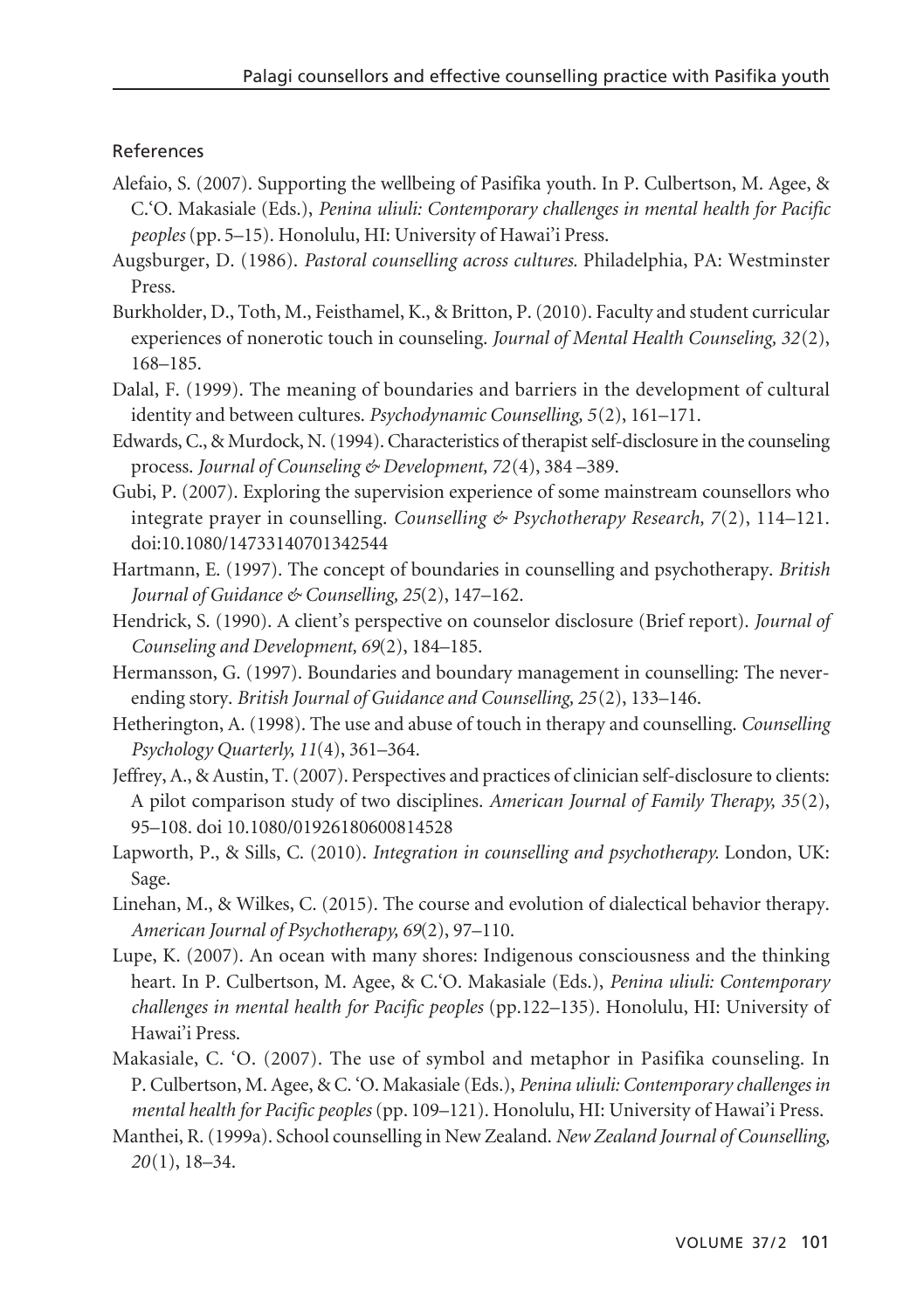#### References

- Alefaio, S. (2007). Supporting the wellbeing of Pasifika youth. In P. Culbertson, M. Agee, & C.'O. Makasiale (Eds.), *Penina uliuli: Contemporary challenges in mental health for Pacific peoples* (pp. 5–15). Honolulu, HI: University of Hawai'i Press.
- Augsburger, D. (1986). *Pastoral counselling across cultures.* Philadelphia, PA: Westminster Press.
- Burkholder, D., Toth, M., Feisthamel, K., & Britton, P. (2010). Faculty and student curricular experiences of nonerotic touch in counseling. *Journal of Mental Health Counseling, 32*(2), 168–185.
- Dalal, F. (1999). The meaning of boundaries and barriers in the development of cultural identity and between cultures. *Psychodynamic Counselling, 5*(2), 161–171.
- Edwards, C., & Murdock, N. (1994). Characteristics of therapist self-disclosure in the counseling process. *Journal of Counseling & Development, 72*(4), 384 –389.
- Gubi, P. (2007). Exploring the supervision experience of some mainstream counsellors who integrate prayer in counselling. *Counselling & Psychotherapy Research, 7*(2), 114–121. doi:10.1080/14733140701342544
- Hartmann, E. (1997). The concept of boundaries in counselling and psychotherapy. *British Journal of Guidance & Counselling, 25*(2), 147–162.
- Hendrick, S. (1990). A client's perspective on counselor disclosure (Brief report). *Journal of Counseling and Development, 69*(2), 184–185.
- Hermansson, G. (1997). Boundaries and boundary management in counselling: The neverending story. *British Journal of Guidance and Counselling, 25*(2), 133–146.
- Hetherington, A. (1998). The use and abuse of touch in therapy and counselling. *Counselling Psychology Quarterly, 11*(4), 361–364.
- Jeffrey, A., & Austin, T. (2007). Perspectives and practices of clinician self-disclosure to clients: A pilot comparison study of two disciplines. *American Journal of Family Therapy, 35*(2), 95–108. doi 10.1080/01926180600814528
- Lapworth, P., & Sills, C. (2010). *Integration in counselling and psychotherapy.* London, UK: Sage.
- Linehan, M., & Wilkes, C. (2015). The course and evolution of dialectical behavior therapy. *American Journal of Psychotherapy, 69*(2), 97–110.
- Lupe, K. (2007). An ocean with many shores: Indigenous consciousness and the thinking heart. In P. Culbertson, M. Agee, & C.'O. Makasiale (Eds.), *Penina uliuli: Contemporary challenges in mental health for Pacific peoples* (pp.122–135). Honolulu, HI: University of Hawai'i Press.
- Makasiale, C. 'O. (2007). The use of symbol and metaphor in Pasifika counseling. In P. Culbertson, M. Agee, & C. 'O. Makasiale (Eds.), *Penina uliuli: Contemporary challenges in mental health for Pacific peoples* (pp. 109–121). Honolulu, HI: University of Hawai'i Press.
- Manthei, R. (1999a). School counselling in New Zealand. *New Zealand Journal of Counselling, 20*(1), 18–34.